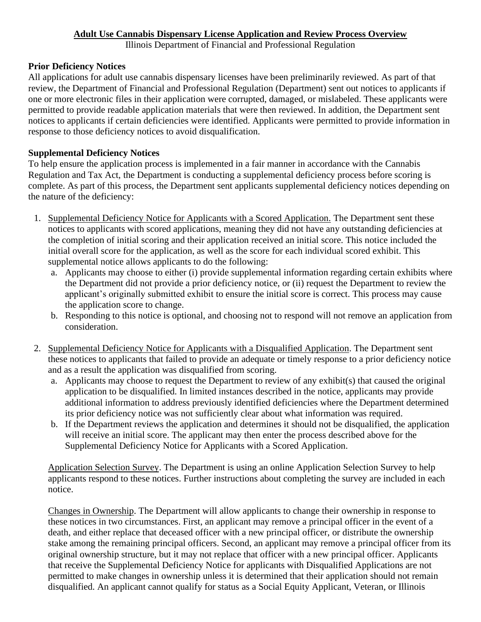## **Adult Use Cannabis Dispensary License Application and Review Process Overview**

Illinois Department of Financial and Professional Regulation

## **Prior Deficiency Notices**

All applications for adult use cannabis dispensary licenses have been preliminarily reviewed. As part of that review, the Department of Financial and Professional Regulation (Department) sent out notices to applicants if one or more electronic files in their application were corrupted, damaged, or mislabeled. These applicants were permitted to provide readable application materials that were then reviewed. In addition, the Department sent notices to applicants if certain deficiencies were identified. Applicants were permitted to provide information in response to those deficiency notices to avoid disqualification.

## **Supplemental Deficiency Notices**

To help ensure the application process is implemented in a fair manner in accordance with the Cannabis Regulation and Tax Act, the Department is conducting a supplemental deficiency process before scoring is complete. As part of this process, the Department sent applicants supplemental deficiency notices depending on the nature of the deficiency:

- 1. Supplemental Deficiency Notice for Applicants with a Scored Application. The Department sent these notices to applicants with scored applications, meaning they did not have any outstanding deficiencies at the completion of initial scoring and their application received an initial score. This notice included the initial overall score for the application, as well as the score for each individual scored exhibit. This supplemental notice allows applicants to do the following:
	- a. Applicants may choose to either (i) provide supplemental information regarding certain exhibits where the Department did not provide a prior deficiency notice, or (ii) request the Department to review the applicant's originally submitted exhibit to ensure the initial score is correct. This process may cause the application score to change.
	- b. Responding to this notice is optional, and choosing not to respond will not remove an application from consideration.
- 2. Supplemental Deficiency Notice for Applicants with a Disqualified Application. The Department sent these notices to applicants that failed to provide an adequate or timely response to a prior deficiency notice and as a result the application was disqualified from scoring.
	- a. Applicants may choose to request the Department to review of any exhibit(s) that caused the original application to be disqualified. In limited instances described in the notice, applicants may provide additional information to address previously identified deficiencies where the Department determined its prior deficiency notice was not sufficiently clear about what information was required.
	- b. If the Department reviews the application and determines it should not be disqualified, the application will receive an initial score. The applicant may then enter the process described above for the Supplemental Deficiency Notice for Applicants with a Scored Application.

Application Selection Survey. The Department is using an online Application Selection Survey to help applicants respond to these notices. Further instructions about completing the survey are included in each notice.

Changes in Ownership. The Department will allow applicants to change their ownership in response to these notices in two circumstances. First, an applicant may remove a principal officer in the event of a death, and either replace that deceased officer with a new principal officer, or distribute the ownership stake among the remaining principal officers. Second, an applicant may remove a principal officer from its original ownership structure, but it may not replace that officer with a new principal officer. Applicants that receive the Supplemental Deficiency Notice for applicants with Disqualified Applications are not permitted to make changes in ownership unless it is determined that their application should not remain disqualified. An applicant cannot qualify for status as a Social Equity Applicant, Veteran, or Illinois